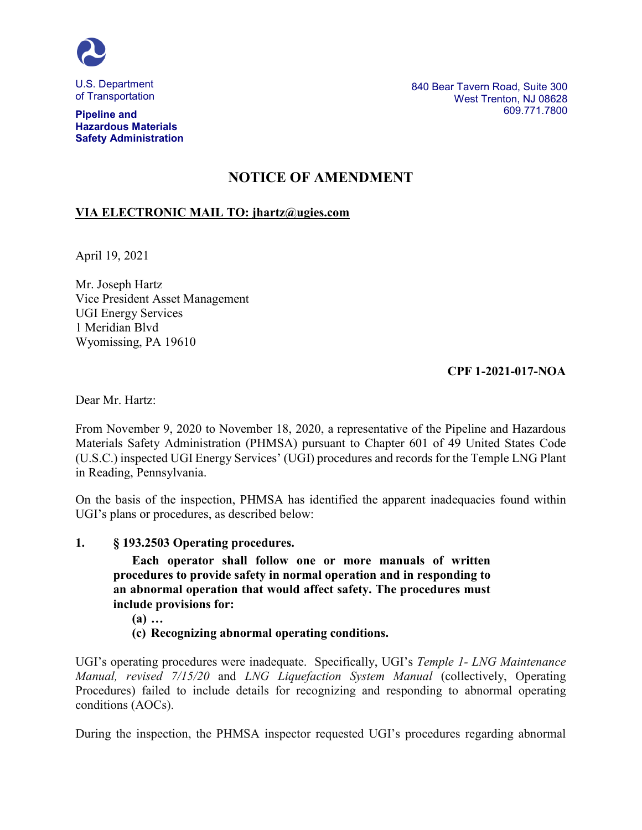

of Transportation

**Pipeline and Hazardous Materials Safety Administration** 840 Bear Tavern Road, Suite 300 West Trenton, NJ 08628 609.771.7800

# **NOTICE OF AMENDMENT**

# **VIA ELECTRONIC MAIL TO: jhartz@ugies.com**

April 19, 2021

Mr. Joseph Hartz Vice President Asset Management UGI Energy Services 1 Meridian Blvd Wyomissing, PA 19610

# **CPF 1-2021-017-NOA**

Dear Mr. Hartz:

From November 9, 2020 to November 18, 2020, a representative of the Pipeline and Hazardous Materials Safety Administration (PHMSA) pursuant to Chapter 601 of 49 United States Code (U.S.C.) inspected UGI Energy Services' (UGI) procedures and records for the Temple LNG Plant in Reading, Pennsylvania.

On the basis of the inspection, PHMSA has identified the apparent inadequacies found within UGI's plans or procedures, as described below:

# **1. § 193.2503 Operating procedures.**

**Each operator shall follow one or more manuals of written procedures to provide safety in normal operation and in responding to an abnormal operation that would affect safety. The procedures must include provisions for:**

**(a) …** 

**(c) Recognizing abnormal operating conditions.**

UGI's operating procedures were inadequate. Specifically, UGI's *Temple 1- LNG Maintenance Manual, revised 7/15/20* and *LNG Liquefaction System Manual* (collectively, Operating Procedures) failed to include details for recognizing and responding to abnormal operating conditions (AOCs).

During the inspection, the PHMSA inspector requested UGI's procedures regarding abnormal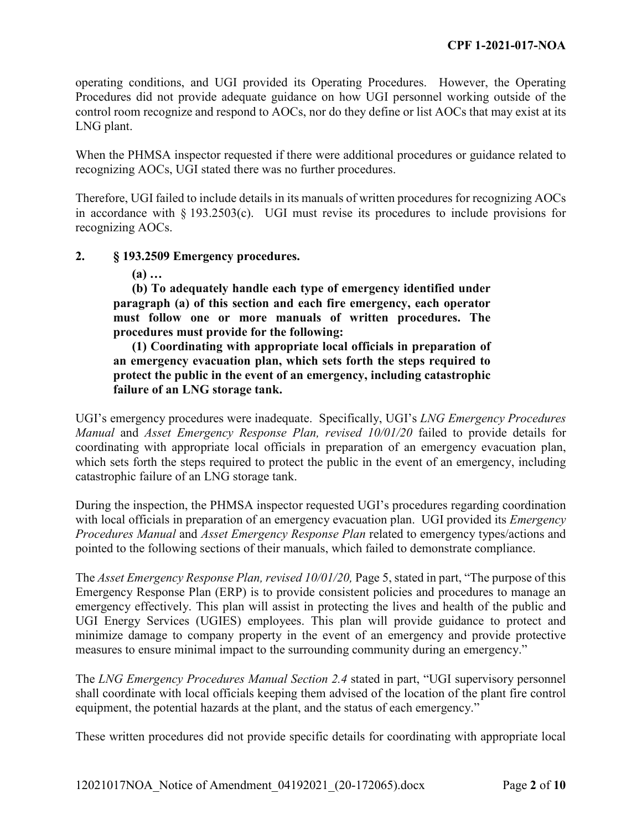operating conditions, and UGI provided its Operating Procedures. However, the Operating Procedures did not provide adequate guidance on how UGI personnel working outside of the control room recognize and respond to AOCs, nor do they define or list AOCs that may exist at its LNG plant.

When the PHMSA inspector requested if there were additional procedures or guidance related to recognizing AOCs, UGI stated there was no further procedures.

Therefore, UGI failed to include details in its manuals of written procedures for recognizing AOCs in accordance with  $\S 193.2503(c)$ . UGI must revise its procedures to include provisions for recognizing AOCs.

# **2. § 193.2509 Emergency procedures.**

**(a) …**

**(b) To adequately handle each type of emergency identified under paragraph (a) of this section and each fire emergency, each operator must follow one or more manuals of written procedures. The procedures must provide for the following:**

**(1) Coordinating with appropriate local officials in preparation of an emergency evacuation plan, which sets forth the steps required to protect the public in the event of an emergency, including catastrophic failure of an LNG storage tank.**

UGI's emergency procedures were inadequate. Specifically, UGI's *LNG Emergency Procedures Manual* and *Asset Emergency Response Plan, revised 10/01/20* failed to provide details for coordinating with appropriate local officials in preparation of an emergency evacuation plan, which sets forth the steps required to protect the public in the event of an emergency, including catastrophic failure of an LNG storage tank.

During the inspection, the PHMSA inspector requested UGI's procedures regarding coordination with local officials in preparation of an emergency evacuation plan. UGI provided its *Emergency Procedures Manual* and *Asset Emergency Response Plan* related to emergency types/actions and pointed to the following sections of their manuals, which failed to demonstrate compliance.

The *Asset Emergency Response Plan, revised 10/01/20,* Page 5, stated in part, "The purpose of this Emergency Response Plan (ERP) is to provide consistent policies and procedures to manage an emergency effectively. This plan will assist in protecting the lives and health of the public and UGI Energy Services (UGIES) employees. This plan will provide guidance to protect and minimize damage to company property in the event of an emergency and provide protective measures to ensure minimal impact to the surrounding community during an emergency."

The *LNG Emergency Procedures Manual Section 2.4* stated in part, "UGI supervisory personnel shall coordinate with local officials keeping them advised of the location of the plant fire control equipment, the potential hazards at the plant, and the status of each emergency."

These written procedures did not provide specific details for coordinating with appropriate local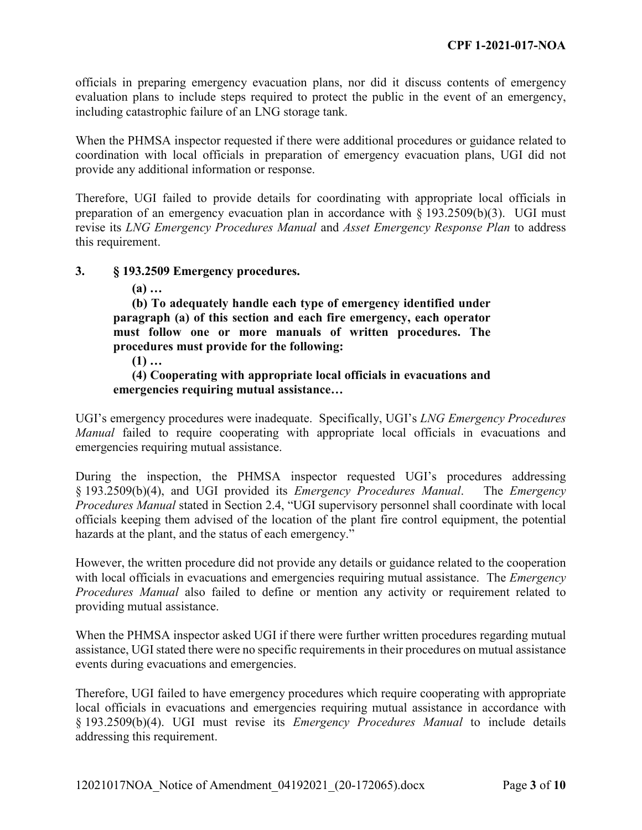officials in preparing emergency evacuation plans, nor did it discuss contents of emergency evaluation plans to include steps required to protect the public in the event of an emergency, including catastrophic failure of an LNG storage tank.

When the PHMSA inspector requested if there were additional procedures or guidance related to coordination with local officials in preparation of emergency evacuation plans, UGI did not provide any additional information or response.

Therefore, UGI failed to provide details for coordinating with appropriate local officials in preparation of an emergency evacuation plan in accordance with § 193.2509(b)(3). UGI must revise its *LNG Emergency Procedures Manual* and *Asset Emergency Response Plan* to address this requirement.

# **3. § 193.2509 Emergency procedures.**

**(a) …**

**(b) To adequately handle each type of emergency identified under paragraph (a) of this section and each fire emergency, each operator must follow one or more manuals of written procedures. The procedures must provide for the following:**

**(1) …**

**(4) Cooperating with appropriate local officials in evacuations and emergencies requiring mutual assistance…**

UGI's emergency procedures were inadequate. Specifically, UGI's *LNG Emergency Procedures Manual* failed to require cooperating with appropriate local officials in evacuations and emergencies requiring mutual assistance.

During the inspection, the PHMSA inspector requested UGI's procedures addressing § 193.2509(b)(4), and UGI provided its *Emergency Procedures Manual*. The *Emergency Procedures Manual* stated in Section 2.4, "UGI supervisory personnel shall coordinate with local officials keeping them advised of the location of the plant fire control equipment, the potential hazards at the plant, and the status of each emergency."

However, the written procedure did not provide any details or guidance related to the cooperation with local officials in evacuations and emergencies requiring mutual assistance. The *Emergency Procedures Manual* also failed to define or mention any activity or requirement related to providing mutual assistance.

When the PHMSA inspector asked UGI if there were further written procedures regarding mutual assistance, UGI stated there were no specific requirements in their procedures on mutual assistance events during evacuations and emergencies.

Therefore, UGI failed to have emergency procedures which require cooperating with appropriate local officials in evacuations and emergencies requiring mutual assistance in accordance with § 193.2509(b)(4). UGI must revise its *Emergency Procedures Manual* to include details addressing this requirement.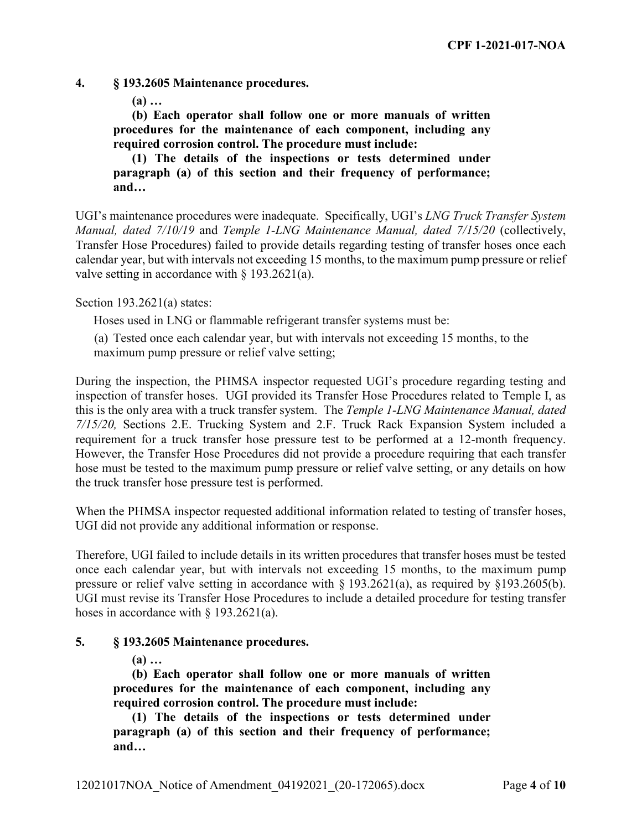**4. § 193.2605 Maintenance procedures.**

**(a) …** 

**(b) Each operator shall follow one or more manuals of written procedures for the maintenance of each component, including any required corrosion control. The procedure must include:**

**(1) The details of the inspections or tests determined under paragraph (a) of this section and their frequency of performance; and…**

UGI's maintenance procedures were inadequate. Specifically, UGI's *LNG Truck Transfer System Manual, dated 7/10/19* and *Temple 1-LNG Maintenance Manual, dated 7/15/20* (collectively, Transfer Hose Procedures) failed to provide details regarding testing of transfer hoses once each calendar year, but with intervals not exceeding 15 months, to the maximum pump pressure or relief valve setting in accordance with § 193.2621(a).

Section 193.2621(a) states:

Hoses used in LNG or flammable refrigerant transfer systems must be:

(a) Tested once each calendar year, but with intervals not exceeding 15 months, to the maximum pump pressure or relief valve setting;

During the inspection, the PHMSA inspector requested UGI's procedure regarding testing and inspection of transfer hoses. UGI provided its Transfer Hose Procedures related to Temple I, as this is the only area with a truck transfer system. The *Temple 1-LNG Maintenance Manual, dated 7/15/20,* Sections 2.E. Trucking System and 2.F. Truck Rack Expansion System included a requirement for a truck transfer hose pressure test to be performed at a 12-month frequency. However, the Transfer Hose Procedures did not provide a procedure requiring that each transfer hose must be tested to the maximum pump pressure or relief valve setting, or any details on how the truck transfer hose pressure test is performed.

When the PHMSA inspector requested additional information related to testing of transfer hoses, UGI did not provide any additional information or response.

Therefore, UGI failed to include details in its written procedures that transfer hoses must be tested once each calendar year, but with intervals not exceeding 15 months, to the maximum pump pressure or relief valve setting in accordance with § 193.2621(a), as required by §193.2605(b). UGI must revise its Transfer Hose Procedures to include a detailed procedure for testing transfer hoses in accordance with  $\S$  193.2621(a).

# **5. § 193.2605 Maintenance procedures.**

**(a) …** 

**(b) Each operator shall follow one or more manuals of written procedures for the maintenance of each component, including any required corrosion control. The procedure must include:**

**(1) The details of the inspections or tests determined under paragraph (a) of this section and their frequency of performance; and…**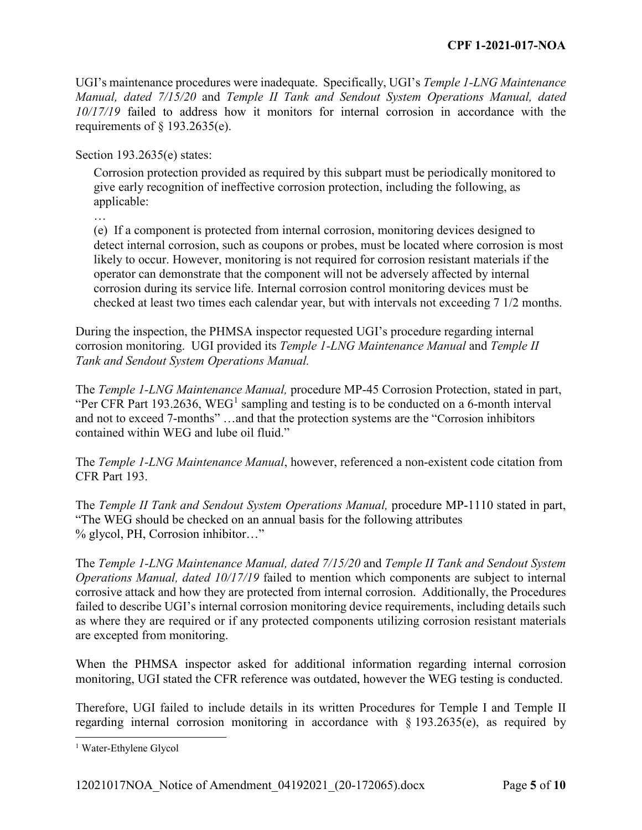UGI's maintenance procedures were inadequate. Specifically, UGI's *Temple 1-LNG Maintenance Manual, dated 7/15/20* and *Temple II Tank and Sendout System Operations Manual, dated 10/17/19* failed to address how it monitors for internal corrosion in accordance with the requirements of  $\S$  193.2635(e).

Section 193.2635(e) states:

Corrosion protection provided as required by this subpart must be periodically monitored to give early recognition of ineffective corrosion protection, including the following, as applicable:

…

(e) If a component is protected from internal corrosion, monitoring devices designed to detect internal corrosion, such as coupons or probes, must be located where corrosion is most likely to occur. However, monitoring is not required for corrosion resistant materials if the operator can demonstrate that the component will not be adversely affected by internal corrosion during its service life. Internal corrosion control monitoring devices must be checked at least two times each calendar year, but with intervals not exceeding 7 1/2 months.

During the inspection, the PHMSA inspector requested UGI's procedure regarding internal corrosion monitoring. UGI provided its *Temple 1-LNG Maintenance Manual* and *Temple II Tank and Sendout System Operations Manual.*

The *Temple 1-LNG Maintenance Manual,* procedure MP-45 Corrosion Protection, stated in part, "Per CFR Part [1](#page-4-0)93.2636, WEG<sup>1</sup> sampling and testing is to be conducted on a 6-month interval and not to exceed 7-months" …and that the protection systems are the "Corrosion inhibitors contained within WEG and lube oil fluid."

The *Temple 1-LNG Maintenance Manual*, however, referenced a non-existent code citation from CFR Part 193.

The *Temple II Tank and Sendout System Operations Manual,* procedure MP-1110 stated in part, "The WEG should be checked on an annual basis for the following attributes % glycol, PH, Corrosion inhibitor…"

The *Temple 1-LNG Maintenance Manual, dated 7/15/20* and *Temple II Tank and Sendout System Operations Manual, dated 10/17/19* failed to mention which components are subject to internal corrosive attack and how they are protected from internal corrosion. Additionally, the Procedures failed to describe UGI's internal corrosion monitoring device requirements, including details such as where they are required or if any protected components utilizing corrosion resistant materials are excepted from monitoring.

When the PHMSA inspector asked for additional information regarding internal corrosion monitoring, UGI stated the CFR reference was outdated, however the WEG testing is conducted.

Therefore, UGI failed to include details in its written Procedures for Temple I and Temple II regarding internal corrosion monitoring in accordance with § 193.2635(e), as required by

<span id="page-4-0"></span> <sup>1</sup> Water-Ethylene Glycol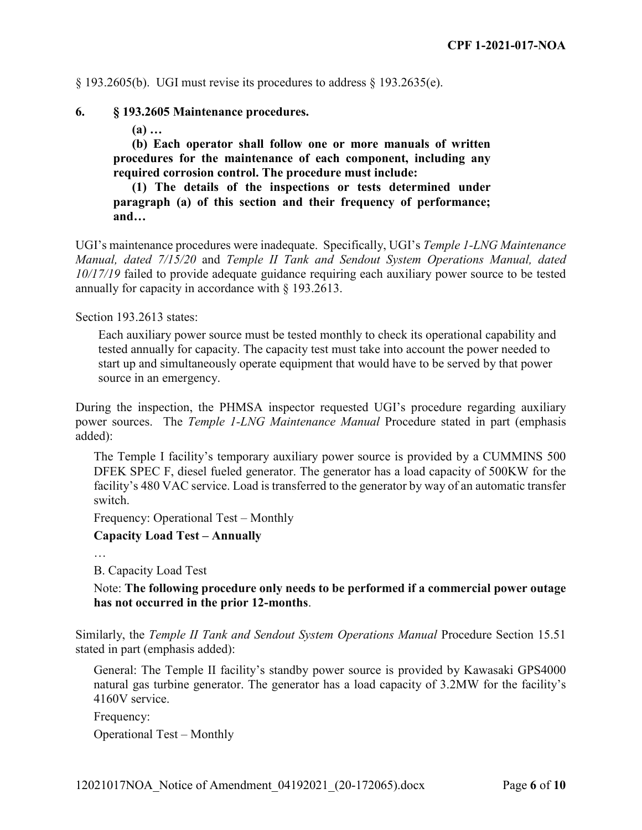$\S$  193.2605(b). UGI must revise its procedures to address  $\S$  193.2635(e).

#### **6. § 193.2605 Maintenance procedures.**

**(a) …** 

**(b) Each operator shall follow one or more manuals of written procedures for the maintenance of each component, including any required corrosion control. The procedure must include:**

**(1) The details of the inspections or tests determined under paragraph (a) of this section and their frequency of performance; and…**

UGI's maintenance procedures were inadequate. Specifically, UGI's *Temple 1-LNG Maintenance Manual, dated 7/15/20* and *Temple II Tank and Sendout System Operations Manual, dated 10/17/19* failed to provide adequate guidance requiring each auxiliary power source to be tested annually for capacity in accordance with § 193.2613.

Section 193.2613 states:

Each auxiliary power source must be tested monthly to check its operational capability and tested annually for capacity. The capacity test must take into account the power needed to start up and simultaneously operate equipment that would have to be served by that power source in an emergency.

During the inspection, the PHMSA inspector requested UGI's procedure regarding auxiliary power sources. The *Temple 1-LNG Maintenance Manual* Procedure stated in part (emphasis added):

The Temple I facility's temporary auxiliary power source is provided by a CUMMINS 500 DFEK SPEC F, diesel fueled generator. The generator has a load capacity of 500KW for the facility's 480 VAC service. Load is transferred to the generator by way of an automatic transfer switch.

Frequency: Operational Test – Monthly

**Capacity Load Test – Annually**

…

B. Capacity Load Test

Note: **The following procedure only needs to be performed if a commercial power outage has not occurred in the prior 12-months**.

Similarly, the *Temple II Tank and Sendout System Operations Manual* Procedure Section 15.51 stated in part (emphasis added):

General: The Temple II facility's standby power source is provided by Kawasaki GPS4000 natural gas turbine generator. The generator has a load capacity of 3.2MW for the facility's 4160V service.

Frequency:

Operational Test – Monthly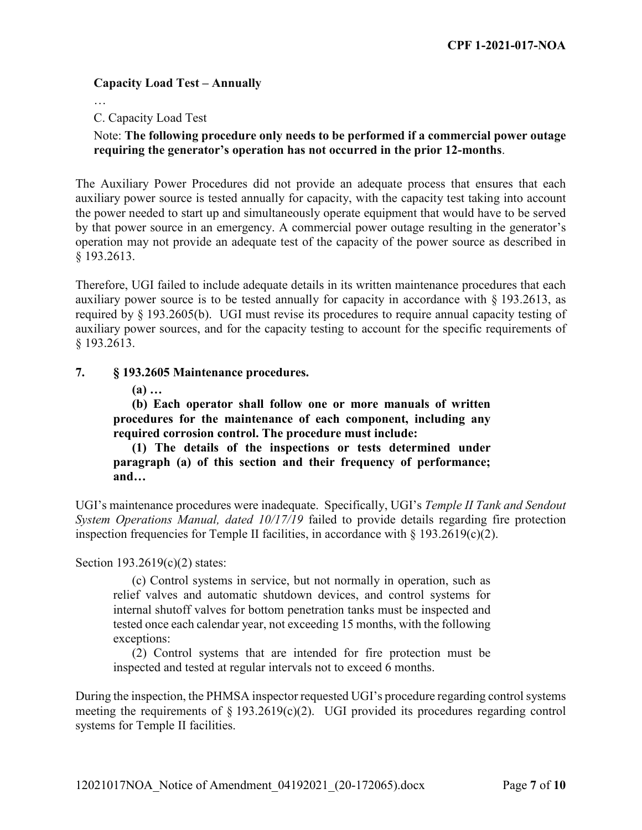# **Capacity Load Test – Annually**

…

C. Capacity Load Test

# Note: **The following procedure only needs to be performed if a commercial power outage requiring the generator's operation has not occurred in the prior 12-months**.

The Auxiliary Power Procedures did not provide an adequate process that ensures that each auxiliary power source is tested annually for capacity, with the capacity test taking into account the power needed to start up and simultaneously operate equipment that would have to be served by that power source in an emergency. A commercial power outage resulting in the generator's operation may not provide an adequate test of the capacity of the power source as described in § 193.2613.

Therefore, UGI failed to include adequate details in its written maintenance procedures that each auxiliary power source is to be tested annually for capacity in accordance with § 193.2613, as required by § 193.2605(b). UGI must revise its procedures to require annual capacity testing of auxiliary power sources, and for the capacity testing to account for the specific requirements of § 193.2613.

# **7. § 193.2605 Maintenance procedures.**

**(a) …** 

**(b) Each operator shall follow one or more manuals of written procedures for the maintenance of each component, including any required corrosion control. The procedure must include:**

**(1) The details of the inspections or tests determined under paragraph (a) of this section and their frequency of performance; and…**

UGI's maintenance procedures were inadequate. Specifically, UGI's *Temple II Tank and Sendout System Operations Manual, dated 10/17/19* failed to provide details regarding fire protection inspection frequencies for Temple II facilities, in accordance with  $\S$  193.2619(c)(2).

Section 193.2619(c)(2) states:

(c) Control systems in service, but not normally in operation, such as relief valves and automatic shutdown devices, and control systems for internal shutoff valves for bottom penetration tanks must be inspected and tested once each calendar year, not exceeding 15 months, with the following exceptions:

(2) Control systems that are intended for fire protection must be inspected and tested at regular intervals not to exceed 6 months.

During the inspection, the PHMSA inspector requested UGI's procedure regarding control systems meeting the requirements of  $\S 193.2619(c)(2)$ . UGI provided its procedures regarding control systems for Temple II facilities.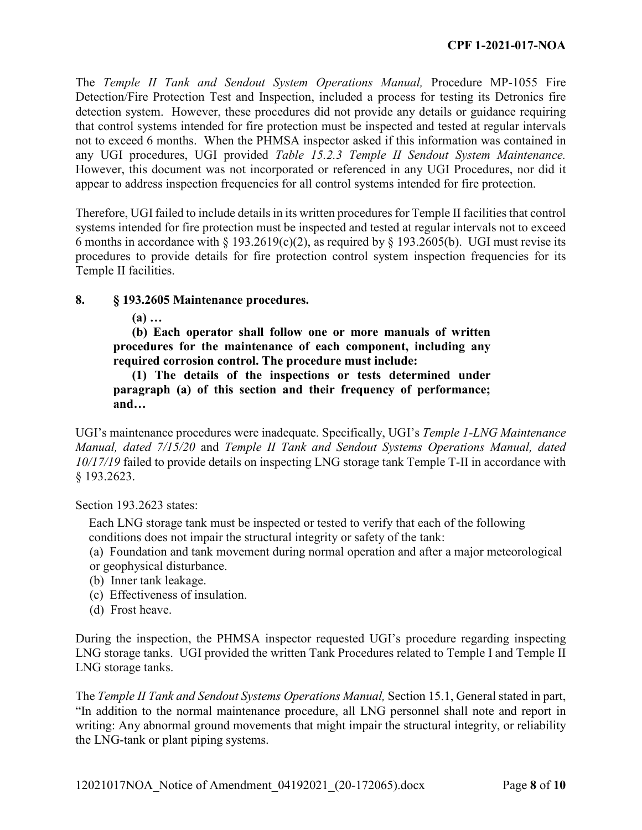The *Temple II Tank and Sendout System Operations Manual,* Procedure MP-1055 Fire Detection/Fire Protection Test and Inspection, included a process for testing its Detronics fire detection system. However, these procedures did not provide any details or guidance requiring that control systems intended for fire protection must be inspected and tested at regular intervals not to exceed 6 months. When the PHMSA inspector asked if this information was contained in any UGI procedures, UGI provided *Table 15.2.3 Temple II Sendout System Maintenance.*  However, this document was not incorporated or referenced in any UGI Procedures, nor did it appear to address inspection frequencies for all control systems intended for fire protection.

Therefore, UGI failed to include details in its written procedures for Temple II facilities that control systems intended for fire protection must be inspected and tested at regular intervals not to exceed 6 months in accordance with § 193.2619(c)(2), as required by § 193.2605(b). UGI must revise its procedures to provide details for fire protection control system inspection frequencies for its Temple II facilities.

# **8. § 193.2605 Maintenance procedures.**

**(a) …** 

**(b) Each operator shall follow one or more manuals of written procedures for the maintenance of each component, including any required corrosion control. The procedure must include:**

**(1) The details of the inspections or tests determined under paragraph (a) of this section and their frequency of performance; and…**

UGI's maintenance procedures were inadequate. Specifically, UGI's *Temple 1-LNG Maintenance Manual, dated 7/15/20* and *Temple II Tank and Sendout Systems Operations Manual, dated 10/17/19* failed to provide details on inspecting LNG storage tank Temple T-II in accordance with § 193.2623.

Section 193.2623 states:

Each LNG storage tank must be inspected or tested to verify that each of the following conditions does not impair the structural integrity or safety of the tank:

(a) Foundation and tank movement during normal operation and after a major meteorological or geophysical disturbance.

- (b) Inner tank leakage.
- (c) Effectiveness of insulation.
- (d) Frost heave.

During the inspection, the PHMSA inspector requested UGI's procedure regarding inspecting LNG storage tanks. UGI provided the written Tank Procedures related to Temple I and Temple II LNG storage tanks.

The *Temple II Tank and Sendout Systems Operations Manual,* Section 15.1, General stated in part, "In addition to the normal maintenance procedure, all LNG personnel shall note and report in writing: Any abnormal ground movements that might impair the structural integrity, or reliability the LNG-tank or plant piping systems.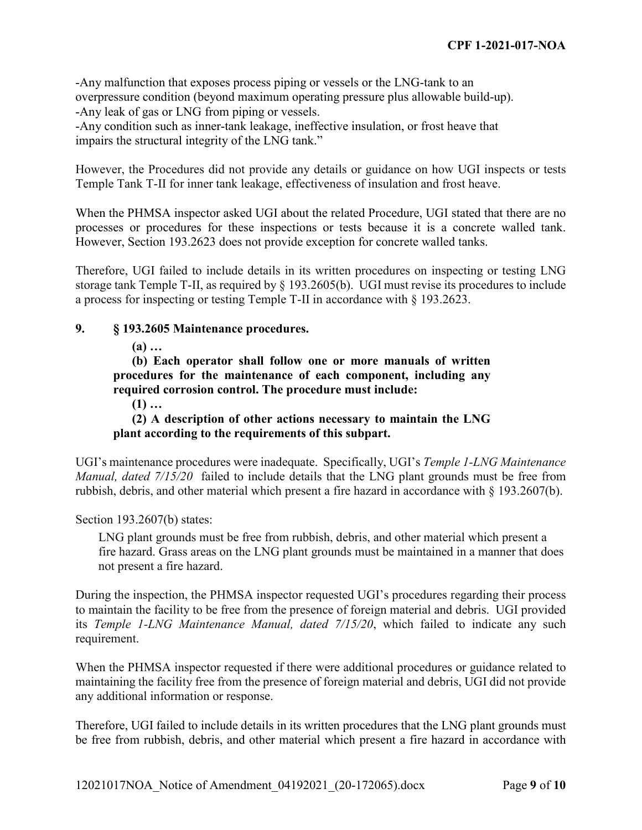-Any malfunction that exposes process piping or vessels or the LNG-tank to an overpressure condition (beyond maximum operating pressure plus allowable build-up). -Any leak of gas or LNG from piping or vessels.

-Any condition such as inner-tank leakage, ineffective insulation, or frost heave that impairs the structural integrity of the LNG tank."

However, the Procedures did not provide any details or guidance on how UGI inspects or tests Temple Tank T-II for inner tank leakage, effectiveness of insulation and frost heave.

When the PHMSA inspector asked UGI about the related Procedure, UGI stated that there are no processes or procedures for these inspections or tests because it is a concrete walled tank. However, Section 193.2623 does not provide exception for concrete walled tanks.

Therefore, UGI failed to include details in its written procedures on inspecting or testing LNG storage tank Temple T-II, as required by § 193.2605(b). UGI must revise its procedures to include a process for inspecting or testing Temple T-II in accordance with § 193.2623.

# **9. § 193.2605 Maintenance procedures.**

**(a) …** 

**(b) Each operator shall follow one or more manuals of written procedures for the maintenance of each component, including any required corrosion control. The procedure must include:**

**(1) …**

**(2) A description of other actions necessary to maintain the LNG plant according to the requirements of this subpart.**

UGI's maintenance procedures were inadequate. Specifically, UGI's *Temple 1-LNG Maintenance Manual, dated 7/15/20* failed to include details that the LNG plant grounds must be free from rubbish, debris, and other material which present a fire hazard in accordance with § 193.2607(b).

Section 193.2607(b) states:

LNG plant grounds must be free from rubbish, debris, and other material which present a fire hazard. Grass areas on the LNG plant grounds must be maintained in a manner that does not present a fire hazard.

During the inspection, the PHMSA inspector requested UGI's procedures regarding their process to maintain the facility to be free from the presence of foreign material and debris. UGI provided its *Temple 1-LNG Maintenance Manual, dated 7/15/20*, which failed to indicate any such requirement.

When the PHMSA inspector requested if there were additional procedures or guidance related to maintaining the facility free from the presence of foreign material and debris, UGI did not provide any additional information or response.

Therefore, UGI failed to include details in its written procedures that the LNG plant grounds must be free from rubbish, debris, and other material which present a fire hazard in accordance with